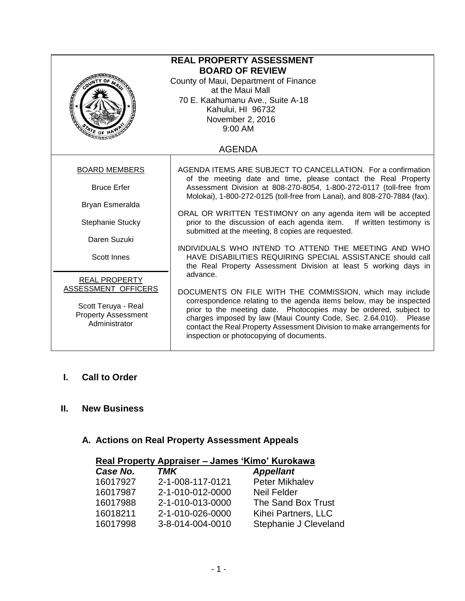| <b>REAL PROPERTY ASSESSMENT</b><br><b>BOARD OF REVIEW</b><br>County of Maui, Department of Finance<br>at the Maui Mall<br>70 E. Kaahumanu Ave., Suite A-18<br>Kahului, HI 96732<br>November 2, 2016<br>9:00 AM |                                                                                                                                                                                                                                                                                                                                                                                                |  |
|----------------------------------------------------------------------------------------------------------------------------------------------------------------------------------------------------------------|------------------------------------------------------------------------------------------------------------------------------------------------------------------------------------------------------------------------------------------------------------------------------------------------------------------------------------------------------------------------------------------------|--|
| <b>AGENDA</b>                                                                                                                                                                                                  |                                                                                                                                                                                                                                                                                                                                                                                                |  |
| <b>BOARD MEMBERS</b>                                                                                                                                                                                           | AGENDA ITEMS ARE SUBJECT TO CANCELLATION. For a confirmation<br>of the meeting date and time, please contact the Real Property                                                                                                                                                                                                                                                                 |  |
| <b>Bruce Erfer</b>                                                                                                                                                                                             | Assessment Division at 808-270-8054, 1-800-272-0117 (toll-free from<br>Molokai), 1-800-272-0125 (toll-free from Lanai), and 808-270-7884 (fax).                                                                                                                                                                                                                                                |  |
| Bryan Esmeralda                                                                                                                                                                                                |                                                                                                                                                                                                                                                                                                                                                                                                |  |
| Stephanie Stucky                                                                                                                                                                                               | ORAL OR WRITTEN TESTIMONY on any agenda item will be accepted<br>prior to the discussion of each agenda item. If written testimony is<br>submitted at the meeting, 8 copies are requested.                                                                                                                                                                                                     |  |
| Daren Suzuki                                                                                                                                                                                                   |                                                                                                                                                                                                                                                                                                                                                                                                |  |
| <b>Scott Innes</b>                                                                                                                                                                                             | INDIVIDUALS WHO INTEND TO ATTEND THE MEETING AND WHO<br>HAVE DISABILITIES REQUIRING SPECIAL ASSISTANCE should call<br>the Real Property Assessment Division at least 5 working days in                                                                                                                                                                                                         |  |
| <b>REAL PROPERTY</b>                                                                                                                                                                                           | advance.                                                                                                                                                                                                                                                                                                                                                                                       |  |
| ASSESSMENT OFFICERS<br>Scott Teruya - Real<br><b>Property Assessment</b><br>Administrator                                                                                                                      | DOCUMENTS ON FILE WITH THE COMMISSION, which may include<br>correspondence relating to the agenda items below, may be inspected<br>prior to the meeting date. Photocopies may be ordered, subject to<br>charges imposed by law (Maui County Code, Sec. 2.64.010). Please<br>contact the Real Property Assessment Division to make arrangements for<br>inspection or photocopying of documents. |  |

# **I. Call to Order**

### **II. New Business**

# **A. Actions on Real Property Assessment Appeals**

| Real Property Appraiser - James 'Kimo' Kurokawa |                  |                       |
|-------------------------------------------------|------------------|-----------------------|
| Case No.                                        | TMK              | <b>Appellant</b>      |
| 16017927                                        | 2-1-008-117-0121 | Peter Mikhalev        |
| 16017987                                        | 2-1-010-012-0000 | <b>Neil Felder</b>    |
| 16017988                                        | 2-1-010-013-0000 | The Sand Box Trust    |
| 16018211                                        | 2-1-010-026-0000 | Kihei Partners, LLC   |
| 16017998                                        | 3-8-014-004-0010 | Stephanie J Cleveland |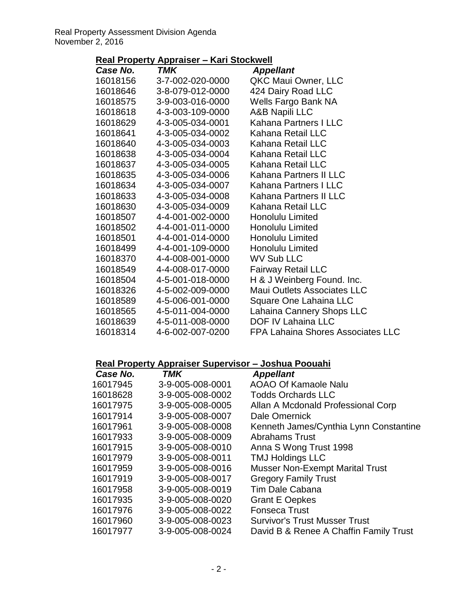# **Real Property Appraiser – Kari Stockwell**

| <i><b>Case No.</b></i> | TMK                       | <b>Appellant</b>                         |
|------------------------|---------------------------|------------------------------------------|
| 16018156               | 3-7-002-020-0000          | QKC Maui Owner, LLC                      |
|                        | 16018646 3-8-079-012-0000 | 424 Dairy Road LLC                       |
|                        | 16018575 3-9-003-016-0000 | Wells Fargo Bank NA                      |
| 16018618               | 4-3-003-109-0000          | <b>A&amp;B Napili LLC</b>                |
| 16018629               | 4-3-005-034-0001          | Kahana Partners I LLC                    |
| 16018641               | 4-3-005-034-0002          | Kahana Retail LLC                        |
| 16018640               | 4-3-005-034-0003          | Kahana Retail LLC                        |
| 16018638               | 4-3-005-034-0004          | Kahana Retail LLC                        |
| 16018637               | 4-3-005-034-0005          | Kahana Retail LLC                        |
| 16018635               | 4-3-005-034-0006          | Kahana Partners II LLC                   |
| 16018634               | 4-3-005-034-0007          | Kahana Partners I LLC                    |
| 16018633               | 4-3-005-034-0008          | Kahana Partners II LLC                   |
| 16018630               | 4-3-005-034-0009          | Kahana Retail LLC                        |
| 16018507               | 4-4-001-002-0000          | <b>Honolulu Limited</b>                  |
| 16018502               | 4-4-001-011-0000          | <b>Honolulu Limited</b>                  |
| 16018501               | 4-4-001-014-0000          | <b>Honolulu Limited</b>                  |
| 16018499               | 4-4-001-109-0000          | <b>Honolulu Limited</b>                  |
| 16018370               | 4-4-008-001-0000          | <b>WV Sub LLC</b>                        |
| 16018549               | 4-4-008-017-0000          | <b>Fairway Retail LLC</b>                |
| 16018504               | 4-5-001-018-0000          | H & J Weinberg Found. Inc.               |
| 16018326               | 4-5-002-009-0000          | <b>Maui Outlets Associates LLC</b>       |
| 16018589               | 4-5-006-001-0000          | Square One Lahaina LLC                   |
| 16018565               | 4-5-011-004-0000          | Lahaina Cannery Shops LLC                |
|                        | 16018639 4-5-011-008-0000 | <b>DOF IV Lahaina LLC</b>                |
|                        | 16018314 4-6-002-007-0200 | <b>FPA Lahaina Shores Associates LLC</b> |
|                        |                           |                                          |

### **Real Property Appraiser Supervisor – Joshua Poouahi**

| Case No. | <b>TMK</b>       | <b>Appellant</b>                       |
|----------|------------------|----------------------------------------|
| 16017945 | 3-9-005-008-0001 | <b>AOAO Of Kamaole Nalu</b>            |
| 16018628 | 3-9-005-008-0002 | <b>Todds Orchards LLC</b>              |
| 16017975 | 3-9-005-008-0005 | Allan A Mcdonald Professional Corp     |
| 16017914 | 3-9-005-008-0007 | Dale Omernick                          |
| 16017961 | 3-9-005-008-0008 | Kenneth James/Cynthia Lynn Constantine |
| 16017933 | 3-9-005-008-0009 | <b>Abrahams Trust</b>                  |
| 16017915 | 3-9-005-008-0010 | Anna S Wong Trust 1998                 |
| 16017979 | 3-9-005-008-0011 | <b>TMJ Holdings LLC</b>                |
| 16017959 | 3-9-005-008-0016 | <b>Musser Non-Exempt Marital Trust</b> |
| 16017919 | 3-9-005-008-0017 | <b>Gregory Family Trust</b>            |
| 16017958 | 3-9-005-008-0019 | Tim Dale Cabana                        |
| 16017935 | 3-9-005-008-0020 | <b>Grant E Oepkes</b>                  |
| 16017976 | 3-9-005-008-0022 | <b>Fonseca Trust</b>                   |
| 16017960 | 3-9-005-008-0023 | <b>Survivor's Trust Musser Trust</b>   |
| 16017977 | 3-9-005-008-0024 | David B & Renee A Chaffin Family Trust |